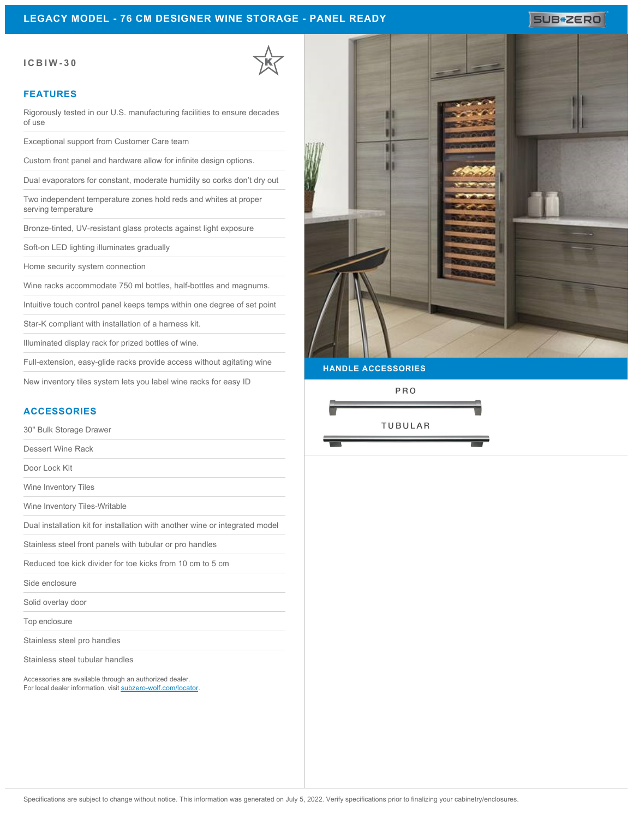# **LEGACY MODEL - 76 CM DESIGNER WINE STORAGE - PANEL READY**

### **ICBIW-30**

### **FEATURES**

Rigorously tested in our U.S. manufacturing facilities to ensure decades of use

Exceptional support from Customer Care team

Custom front panel and hardware allow for infinite design options.

Dual evaporators for constant, moderate humidity so corks don't dry out

Two independent temperature zones hold reds and whites at proper serving temperature

Bronze-tinted, UV-resistant glass protects against light exposure

Soft-on LED lighting illuminates gradually

Home security system connection

Wine racks accommodate 750 ml bottles, half-bottles and magnums.

Intuitive touch control panel keeps temps within one degree of set point

Star-K compliant with installation of a harness kit.

Illuminated display rack for prized bottles of wine.

Full-extension, easy-glide racks provide access without agitating wine

New inventory tiles system lets you label wine racks for easy ID

## **ACCESSORIES**

30" Bulk Storage Drawer

Dessert Wine Rack

Door Lock Kit

Wine Inventory Tiles

Wine Inventory Tiles-Writable

Dual installation kit for installation with another wine or integrated model

Stainless steel front panels with tubular or pro handles

Reduced toe kick divider for toe kicks from 10 cm to 5 cm

Side enclosure

Solid overlay door

Top enclosure

Stainless steel pro handles

Stainless steel tubular handles

Accessories are available through an authorized dealer. For local dealer information, visit [subzero-wolf.com/locator.](http://www.subzero-wolf.com/locator)



SUB<sup>\*</sup>ZERO

**HANDLE ACCESSORIES**

PRO